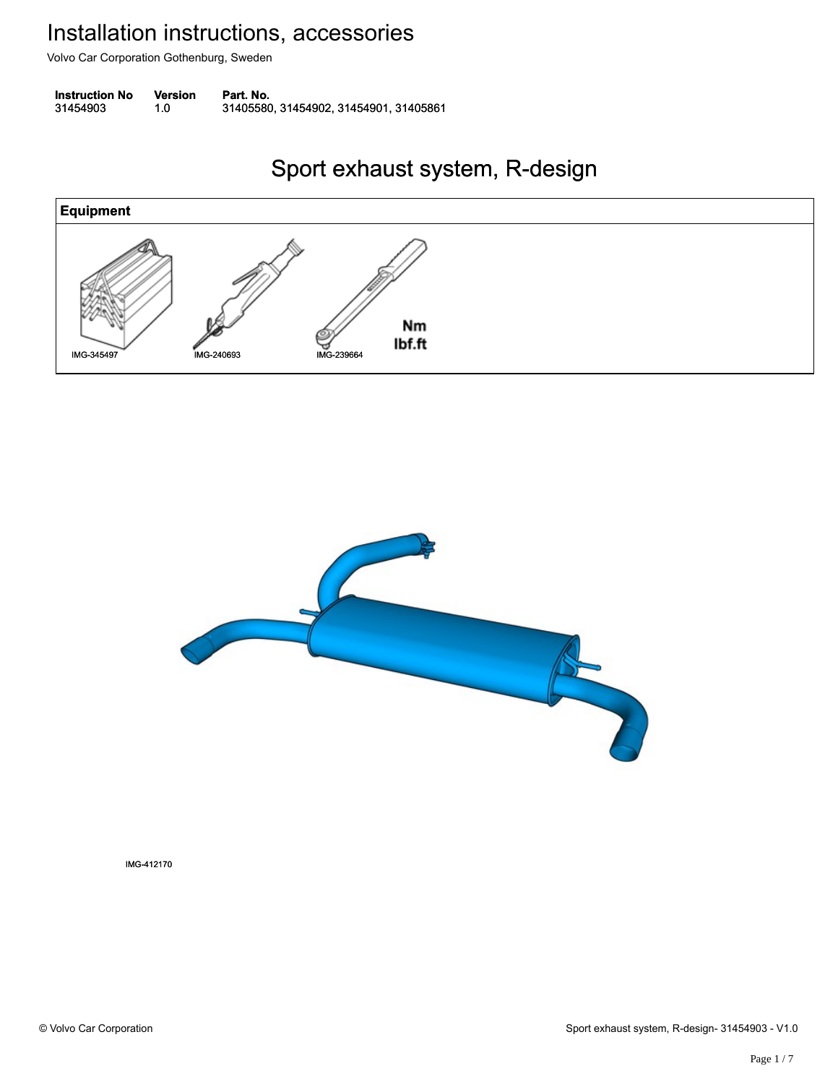Volvo Car Corporation Gothenburg, Sweden

**Instruction No** Version Part. No. 31454903 1.0 31405580, 31454902, 31454901, 31405861 314549031.031405580, 31454902, 31454901, 31405861

#### Sport exhaust system, R-design Sport exhaust system, R-design





IMG-412170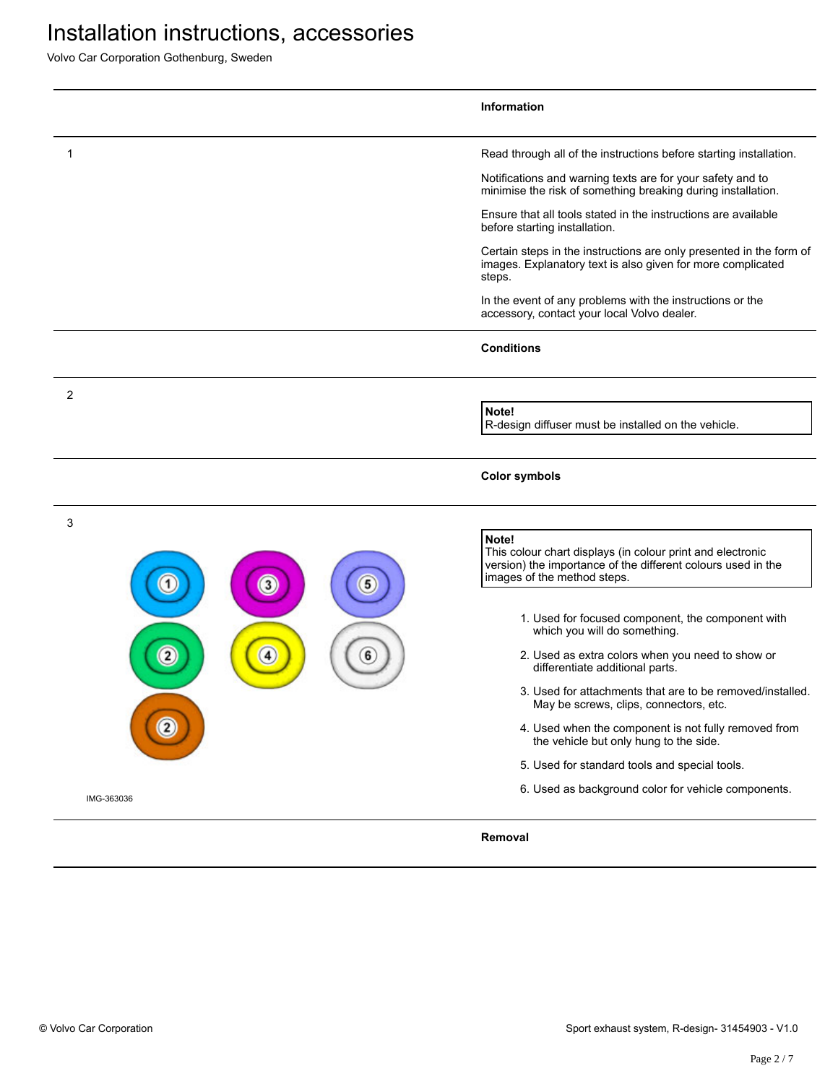Volvo Car Corporation Gothenburg, Sweden

|                        | <b>Information</b>                                                                                                                                                 |
|------------------------|--------------------------------------------------------------------------------------------------------------------------------------------------------------------|
| 1                      | Read through all of the instructions before starting installation.                                                                                                 |
|                        | Notifications and warning texts are for your safety and to<br>minimise the risk of something breaking during installation.                                         |
|                        | Ensure that all tools stated in the instructions are available<br>before starting installation.                                                                    |
|                        | Certain steps in the instructions are only presented in the form of<br>images. Explanatory text is also given for more complicated<br>steps.                       |
|                        | In the event of any problems with the instructions or the<br>accessory, contact your local Volvo dealer.                                                           |
|                        | <b>Conditions</b>                                                                                                                                                  |
| 2                      | Note!                                                                                                                                                              |
|                        | R-design diffuser must be installed on the vehicle.                                                                                                                |
|                        | <b>Color symbols</b>                                                                                                                                               |
| 3<br>5<br>$\mathbf{3}$ | Note!<br>This colour chart displays (in colour print and electronic<br>version) the importance of the different colours used in the<br>images of the method steps. |
|                        | 1. Used for focused component, the component with<br>which you will do something.                                                                                  |
| $\mathbf{2}$<br>4<br>6 | 2. Used as extra colors when you need to show or<br>differentiate additional parts.                                                                                |
|                        | 3. Used for attachments that are to be removed/installed.<br>May be screws, clips, connectors, etc.                                                                |
|                        | 4. Used when the component is not fully removed from<br>the vehicle but only hung to the side.                                                                     |
|                        | 5. Used for standard tools and special tools.                                                                                                                      |
| IMG-363036             | 6. Used as background color for vehicle components.                                                                                                                |
|                        | Removal                                                                                                                                                            |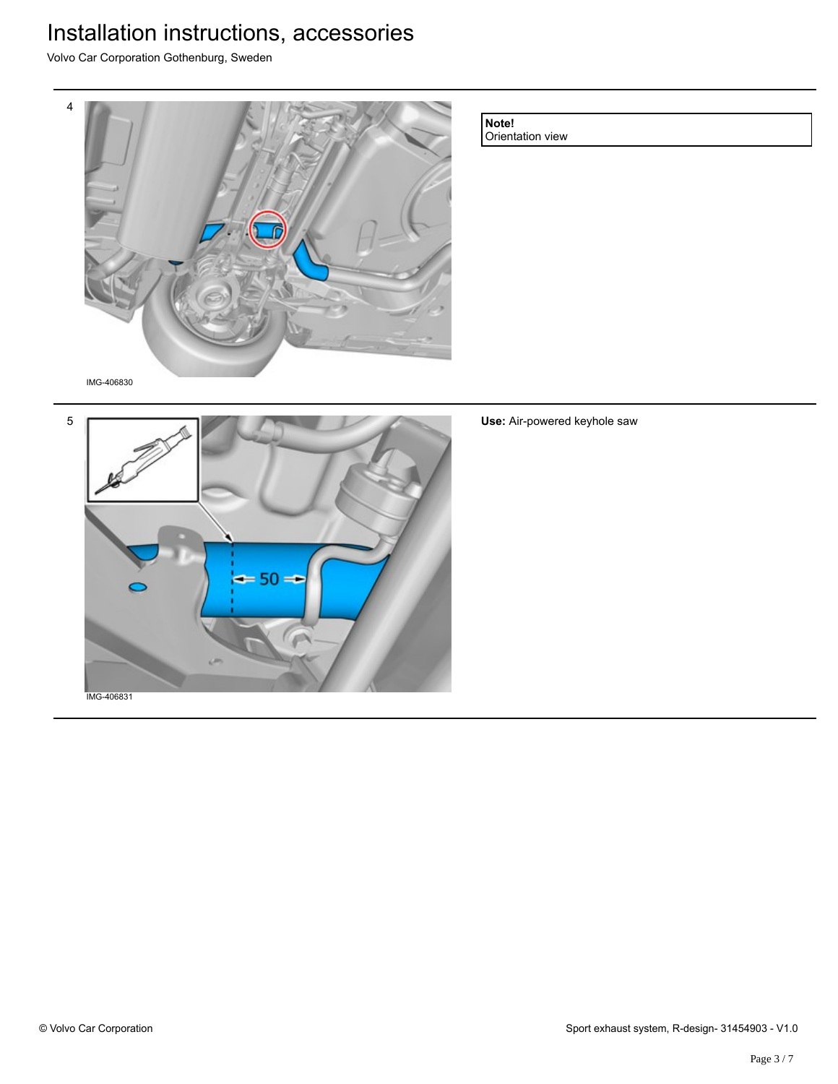Volvo Car Corporation Gothenburg, Sweden



**Note!**

Orientation view

IMG-406830



**Use:** Air-powered keyhole saw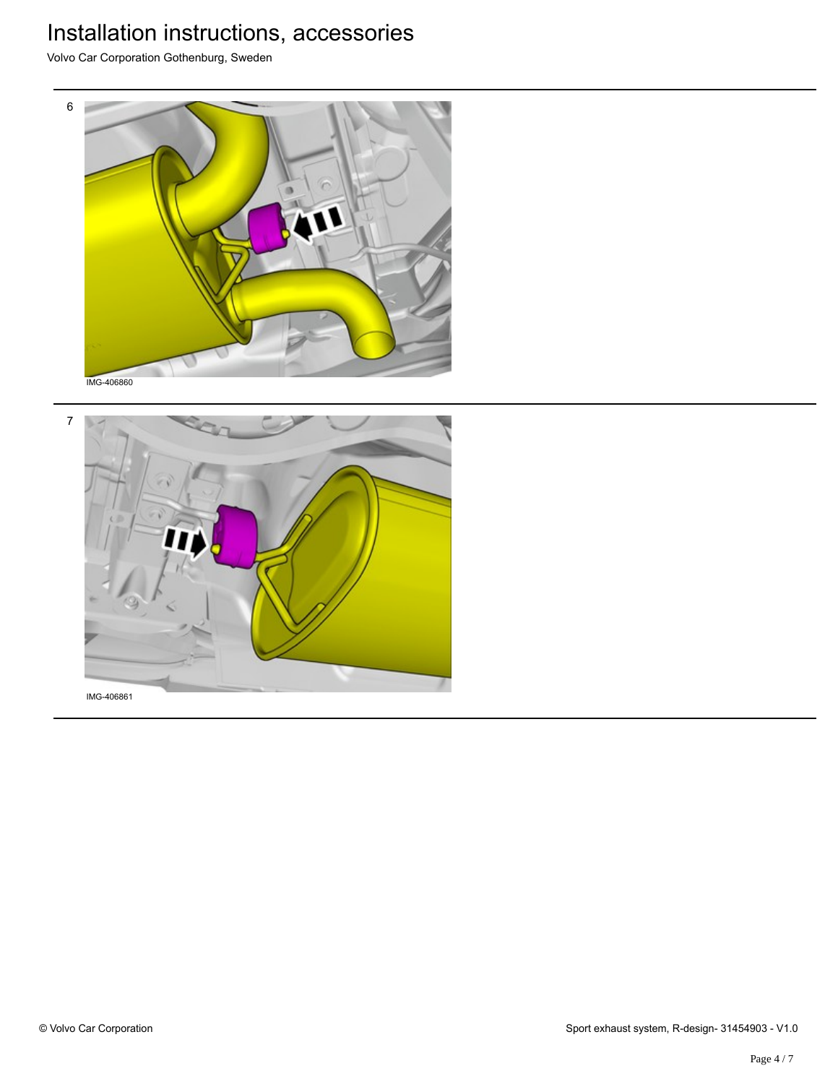Volvo Car Corporation Gothenburg, Sweden



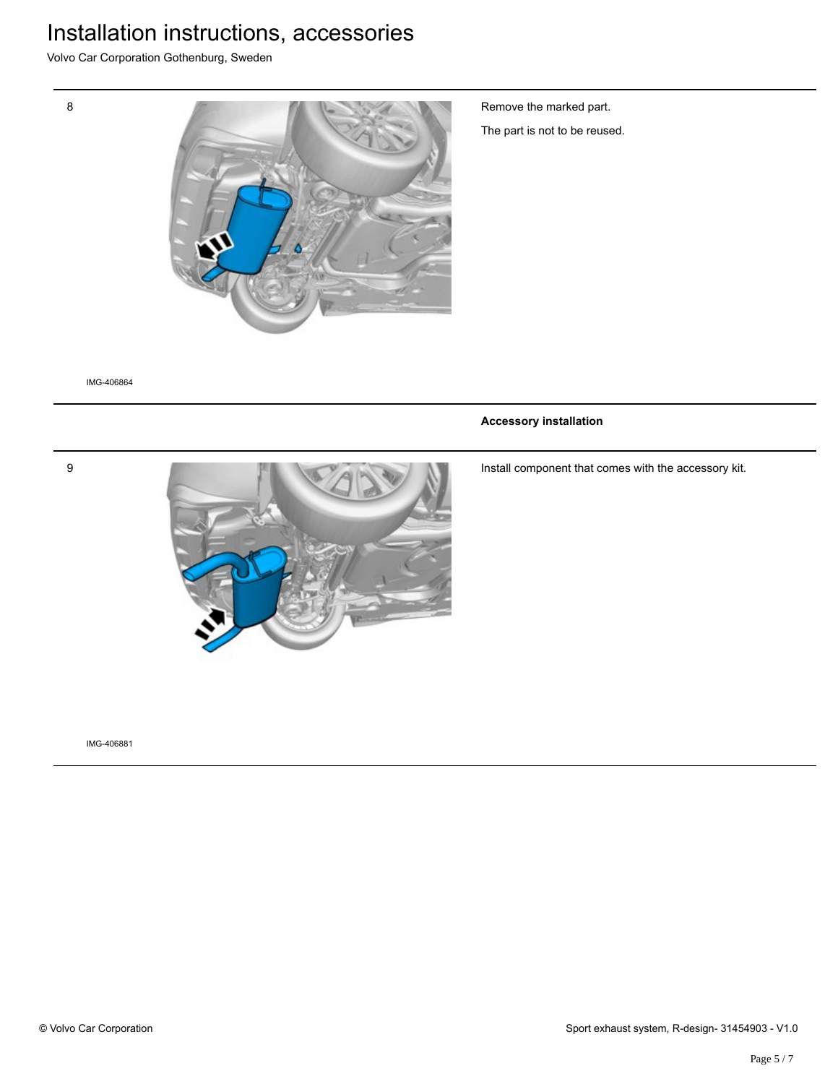Volvo Car Corporation Gothenburg, Sweden



Remove the marked part.

The part is not to be reused.

IMG-406864

9

8

#### **Accessory installation**

Install component that comes with the accessory kit.



IMG-406881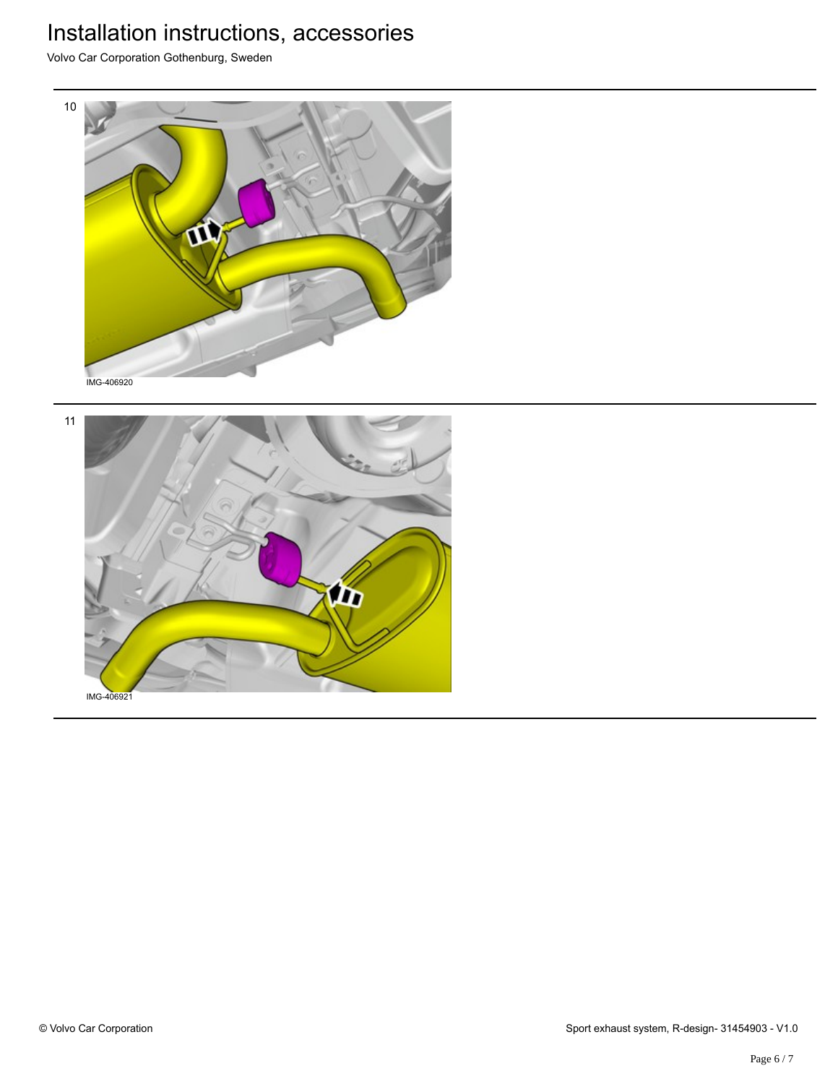Volvo Car Corporation Gothenburg, Sweden